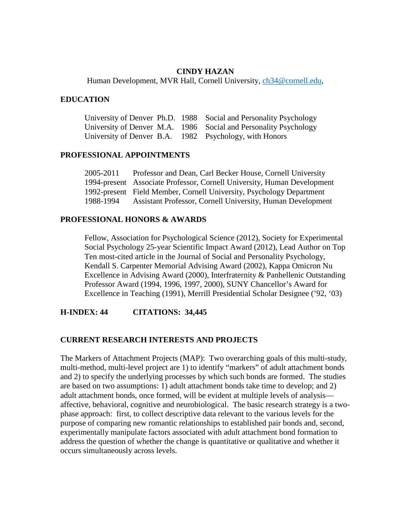## **CINDY HAZAN**

Human Development, MVR Hall, Cornell University, [ch34@cornell.edu,](mailto:ch34@cornell.edu)

## **EDUCATION**

|  | University of Denver Ph.D. 1988 Social and Personality Psychology |
|--|-------------------------------------------------------------------|
|  | University of Denver M.A. 1986 Social and Personality Psychology  |
|  | University of Denver B.A. 1982 Psychology, with Honors            |

### **PROFESSIONAL APPOINTMENTS**

| 2005-2011 | Professor and Dean, Carl Becker House, Cornell University               |
|-----------|-------------------------------------------------------------------------|
|           | 1994-present Associate Professor, Cornell University, Human Development |
|           | 1992-present Field Member, Cornell University, Psychology Department    |
| 1988-1994 | Assistant Professor, Cornell University, Human Development              |

### **PROFESSIONAL HONORS & AWARDS**

Fellow, Association for Psychological Science (2012), Society for Experimental Social Psychology 25-year Scientific Impact Award (2012), Lead Author on Top Ten most-cited article in the Journal of Social and Personality Psychology, Kendall S. Carpenter Memorial Advising Award (2002), Kappa Omicron Nu Excellence in Advising Award (2000), Interfraternity & Panhellenic Outstanding Professor Award (1994, 1996, 1997, 2000), SUNY Chancellor's Award for Excellence in Teaching (1991), Merrill Presidential Scholar Designee ('92, '03)

**H-INDEX: 44 CITATIONS: 34,445**

## **CURRENT RESEARCH INTERESTS AND PROJECTS**

The Markers of Attachment Projects (MAP): Two overarching goals of this multi-study, multi-method, multi-level project are 1) to identify "markers" of adult attachment bonds and 2) to specify the underlying processes by which such bonds are formed. The studies are based on two assumptions: 1) adult attachment bonds take time to develop; and 2) adult attachment bonds, once formed, will be evident at multiple levels of analysis affective, behavioral, cognitive and neurobiological. The basic research strategy is a twophase approach: first, to collect descriptive data relevant to the various levels for the purpose of comparing new romantic relationships to established pair bonds and, second, experimentally manipulate factors associated with adult attachment bond formation to address the question of whether the change is quantitative or qualitative and whether it occurs simultaneously across levels.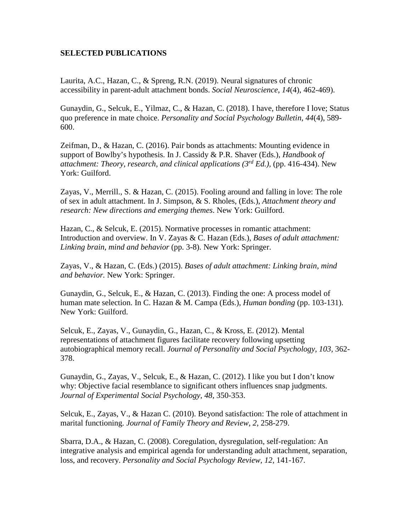# **SELECTED PUBLICATIONS**

Laurita, A.C., Hazan, C., & Spreng, R.N. (2019). Neural signatures of chronic accessibility in parent-adult attachment bonds. *Social Neuroscience, 14*(4), 462-469).

Gunaydin, G., Selcuk, E., Yilmaz, C., & Hazan, C. (2018). I have, therefore I love; Status quo preference in mate choice. *Personality and Social Psychology Bulletin, 44*(4), 589- 600.

Zeifman, D., & Hazan, C. (2016). Pair bonds as attachments: Mounting evidence in support of Bowlby's hypothesis. In J. Cassidy & P.R. Shaver (Eds.), *Handbook of attachment: Theory, research, and clinical applications (3rd Ed.),* (pp. 416-434). New York: Guilford.

Zayas, V., Merrill., S. & Hazan, C. (2015). Fooling around and falling in love: The role of sex in adult attachment. In J. Simpson, & S. Rholes, (Eds.), *Attachment theory and research: New directions and emerging themes*. New York: Guilford.

Hazan, C., & Selcuk, E. (2015). Normative processes in romantic attachment: Introduction and overview. In V. Zayas & C. Hazan (Eds.), *Bases of adult attachment: Linking brain, mind and behavior* (pp. 3-8). New York: Springer.

Zayas, V., & Hazan, C. (Eds.) (2015). *Bases of adult attachment: Linking brain, mind and behavior.* New York: Springer.

Gunaydin, G., Selcuk, E., & Hazan, C. (2013). Finding the one: A process model of human mate selection. In C. Hazan & M. Campa (Eds.), *Human bonding* (pp. 103-131). New York: Guilford.

Selcuk, E., Zayas, V., Gunaydin, G., Hazan, C., & Kross, E. (2012). Mental representations of attachment figures facilitate recovery following upsetting autobiographical memory recall. *Journal of Personality and Social Psychology, 103,* 362- 378.

Gunaydin, G., Zayas, V., Selcuk, E., & Hazan, C. (2012). I like you but I don't know why: Objective facial resemblance to significant others influences snap judgments. *Journal of Experimental Social Psychology, 48,* 350-353.

Selcuk, E., Zayas, V., & Hazan C. (2010). Beyond satisfaction: The role of attachment in marital functioning. *Journal of Family Theory and Review, 2,* 258-279.

Sbarra, D.A., & Hazan, C. (2008). Coregulation, dysregulation, self-regulation: An integrative analysis and empirical agenda for understanding adult attachment, separation, loss, and recovery. *Personality and Social Psychology Review, 12, 141-167.*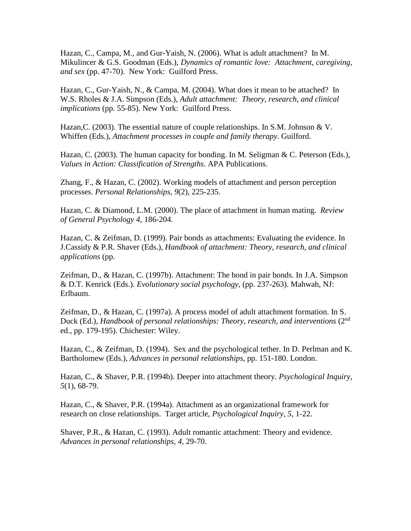Hazan, C., Campa, M., and Gur-Yaish, N. (2006). What is adult attachment? In M. Mikulincer & G.S. Goodman (Eds.), *Dynamics of romantic love: Attachment, caregiving, and sex* (pp. 47-70). New York: Guilford Press.

Hazan, C., Gur-Yaish, N., & Campa, M. (2004). What does it mean to be attached? In W.S. Rholes & J.A. Simpson (Eds.), *Adult attachment: Theory, research, and clinical implications* (pp. 55-85). New York: Guilford Press.

Hazan, C. (2003). The essential nature of couple relationships. In S.M. Johnson & V. Whiffen (Eds.), *Attachment processes in couple and family therapy*. Guilford.

Hazan, C. (2003). The human capacity for bonding. In M. Seligman & C. Peterson (Eds.), *Values in Action: Classification of Strengths*. APA Publications.

Zhang, F., & Hazan, C. (2002). Working models of attachment and person perception processes. *Personal Relationships, 9*(2), 225-235.

Hazan, C. & Diamond, L.M. (2000). The place of attachment in human mating. *Review of General Psychology 4*, 186-204.

Hazan, C. & Zeifman, D. (1999). Pair bonds as attachments: Evaluating the evidence. In J.Cassidy & P.R. Shaver (Eds.), *Handbook of attachment: Theory, research, and clinical applications* (pp.

Zeifman, D., & Hazan, C. (1997b). Attachment: The bond in pair bonds. In J.A. Simpson & D.T. Kenrick (Eds.). *Evolutionary social psychology,* (pp. 237-263). Mahwah, NJ: Erlbaum.

Zeifman, D., & Hazan, C. (1997a). A process model of adult attachment formation. In S. Duck (Ed.), *Handbook of personal relationships: Theory, research, and interventions* (2<sup>nd</sup>) ed., pp. 179-195). Chichester: Wiley.

Hazan, C., & Zeifman, D. (1994). Sex and the psychological tether. In D. Perlman and K. Bartholomew (Eds.), *Advances in personal relationships*, pp. 151-180. London.

Hazan, C., & Shaver, P.R. (1994b). Deeper into attachment theory. *Psychological Inquiry, 5*(1), 68-79.

Hazan, C., & Shaver, P.R. (1994a). Attachment as an organizational framework for research on close relationships. Target article, *Psychological Inquiry, 5*, 1-22.

Shaver, P.R., & Hazan, C. (1993). Adult romantic attachment: Theory and evidence. *Advances in personal relationships, 4,* 29-70.